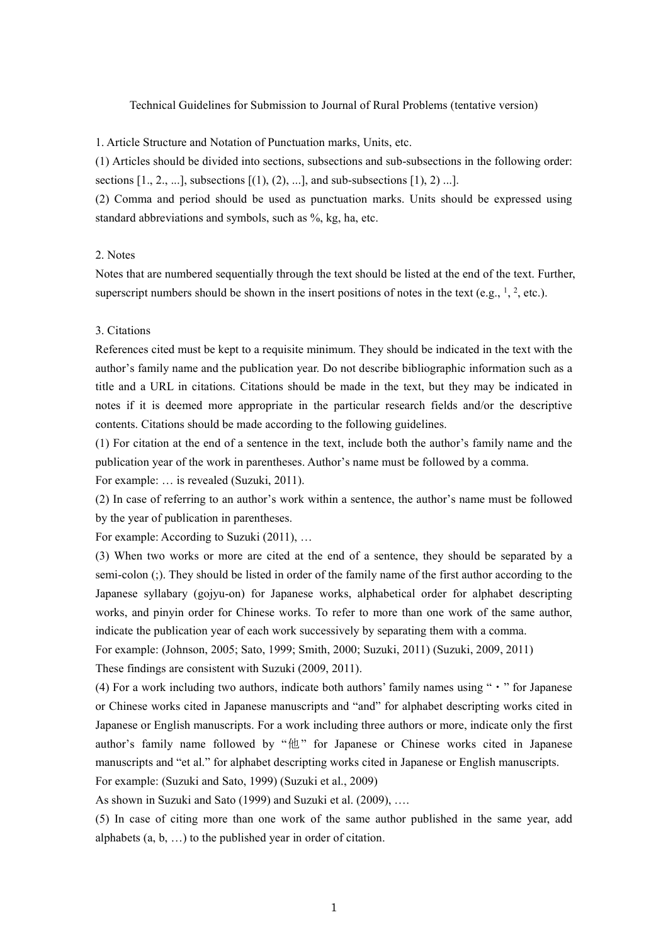## Technical Guidelines for Submission to Journal of Rural Problems (tentative version)

1. Article Structure and Notation of Punctuation marks, Units, etc.

(1) Articles should be divided into sections, subsections and sub-subsections in the following order: sections  $[1, 2, \ldots]$ , subsections  $[(1), (2), \ldots]$ , and sub-subsections  $[1), 2)$ ...].

(2) Comma and period should be used as punctuation marks. Units should be expressed using standard abbreviations and symbols, such as %, kg, ha, etc.

## 2. Notes

Notes that are numbered sequentially through the text should be listed at the end of the text. Further, superscript numbers should be shown in the insert positions of notes in the text (e.g.,  $^1$ ,  $^2$ , etc.).

## 3. Citations

References cited must be kept to a requisite minimum. They should be indicated in the text with the author's family name and the publication year. Do not describe bibliographic information such as a title and a URL in citations. Citations should be made in the text, but they may be indicated in notes if it is deemed more appropriate in the particular research fields and/or the descriptive contents. Citations should be made according to the following guidelines.

(1) For citation at the end of a sentence in the text, include both the author's family name and the publication year of the work in parentheses. Author's name must be followed by a comma.

For example: … is revealed (Suzuki, 2011).

(2) In case of referring to an author's work within a sentence, the author's name must be followed by the year of publication in parentheses.

For example: According to Suzuki (2011), …

(3) When two works or more are cited at the end of a sentence, they should be separated by a semi-colon (;). They should be listed in order of the family name of the first author according to the Japanese syllabary (gojyu-on) for Japanese works, alphabetical order for alphabet descripting works, and pinyin order for Chinese works. To refer to more than one work of the same author, indicate the publication year of each work successively by separating them with a comma.

For example: (Johnson, 2005; Sato, 1999; Smith, 2000; Suzuki, 2011) (Suzuki, 2009, 2011) These findings are consistent with Suzuki (2009, 2011).

(4) For a work including two authors, indicate both authors' family names using " $\cdot$ " for Japanese or Chinese works cited in Japanese manuscripts and "and" for alphabet descripting works cited in Japanese or English manuscripts. For a work including three authors or more, indicate only the first author's family name followed by "他" for Japanese or Chinese works cited in Japanese manuscripts and "et al." for alphabet descripting works cited in Japanese or English manuscripts. For example: (Suzuki and Sato, 1999) (Suzuki et al., 2009)

As shown in Suzuki and Sato (1999) and Suzuki et al. (2009), ….

(5) In case of citing more than one work of the same author published in the same year, add alphabets (a, b, …) to the published year in order of citation.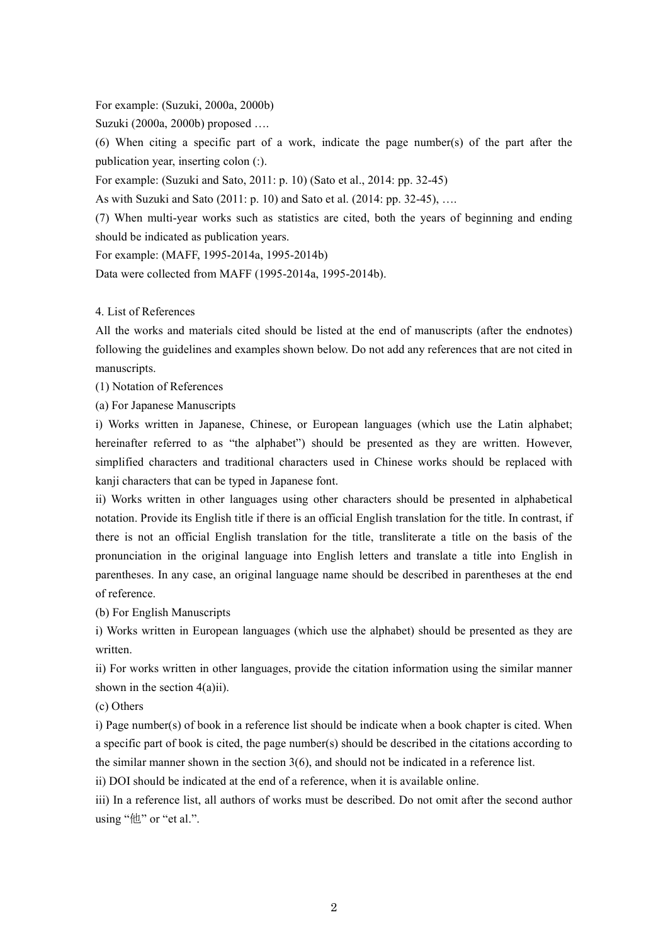For example: (Suzuki, 2000a, 2000b)

Suzuki (2000a, 2000b) proposed ….

(6) When citing a specific part of a work, indicate the page number(s) of the part after the publication year, inserting colon (:).

For example: (Suzuki and Sato, 2011: p. 10) (Sato et al., 2014: pp. 32-45)

As with Suzuki and Sato (2011: p. 10) and Sato et al. (2014: pp. 32-45), ….

(7) When multi-year works such as statistics are cited, both the years of beginning and ending should be indicated as publication years.

For example: (MAFF, 1995-2014a, 1995-2014b)

Data were collected from MAFF (1995-2014a, 1995-2014b).

4. List of References

All the works and materials cited should be listed at the end of manuscripts (after the endnotes) following the guidelines and examples shown below. Do not add any references that are not cited in manuscripts.

(1) Notation of References

(a) For Japanese Manuscripts

i) Works written in Japanese, Chinese, or European languages (which use the Latin alphabet; hereinafter referred to as "the alphabet") should be presented as they are written. However, simplified characters and traditional characters used in Chinese works should be replaced with kanji characters that can be typed in Japanese font.

ii) Works written in other languages using other characters should be presented in alphabetical notation. Provide its English title if there is an official English translation for the title. In contrast, if there is not an official English translation for the title, transliterate a title on the basis of the pronunciation in the original language into English letters and translate a title into English in parentheses. In any case, an original language name should be described in parentheses at the end of reference.

(b) For English Manuscripts

i) Works written in European languages (which use the alphabet) should be presented as they are written.

ii) For works written in other languages, provide the citation information using the similar manner shown in the section 4(a)ii).

(c) Others

i) Page number(s) of book in a reference list should be indicate when a book chapter is cited. When a specific part of book is cited, the page number(s) should be described in the citations according to the similar manner shown in the section  $3(6)$ , and should not be indicated in a reference list.

ii) DOI should be indicated at the end of a reference, when it is available online.

iii) In a reference list, all authors of works must be described. Do not omit after the second author using "他" or "et al.".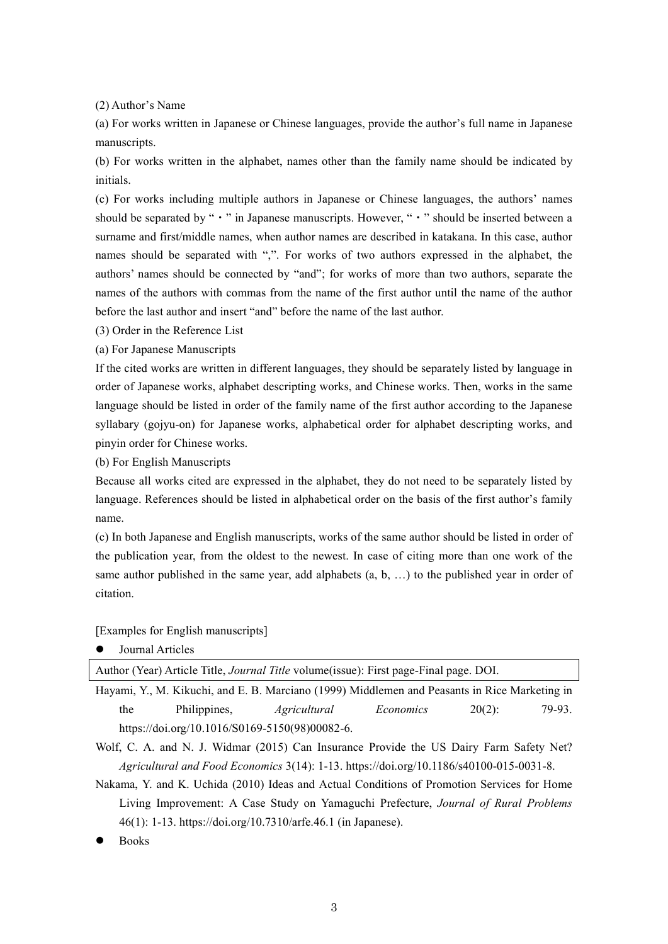(2) Author's Name

(a) For works written in Japanese or Chinese languages, provide the author's full name in Japanese manuscripts.

(b) For works written in the alphabet, names other than the family name should be indicated by initials.

(c) For works including multiple authors in Japanese or Chinese languages, the authors' names should be separated by " • " in Japanese manuscripts. However, " • " should be inserted between a surname and first/middle names, when author names are described in katakana. In this case, author names should be separated with ",". For works of two authors expressed in the alphabet, the authors' names should be connected by "and"; for works of more than two authors, separate the names of the authors with commas from the name of the first author until the name of the author before the last author and insert "and" before the name of the last author.

(3) Order in the Reference List

(a) For Japanese Manuscripts

If the cited works are written in different languages, they should be separately listed by language in order of Japanese works, alphabet descripting works, and Chinese works. Then, works in the same language should be listed in order of the family name of the first author according to the Japanese syllabary (gojyu-on) for Japanese works, alphabetical order for alphabet descripting works, and pinyin order for Chinese works.

(b) For English Manuscripts

Because all works cited are expressed in the alphabet, they do not need to be separately listed by language. References should be listed in alphabetical order on the basis of the first author's family name.

(c) In both Japanese and English manuscripts, works of the same author should be listed in order of the publication year, from the oldest to the newest. In case of citing more than one work of the same author published in the same year, add alphabets (a, b, …) to the published year in order of citation.

[Examples for English manuscripts]

Journal Articles

Author (Year) Article Title, *Journal Title* volume(issue): First page-Final page. DOI.

Hayami, Y., M. Kikuchi, and E. B. Marciano (1999) Middlemen and Peasants in Rice Marketing in the Philippines, *Agricultural Economics* 20(2): 79-93. https://doi.org/10.1016/S0169-5150(98)00082-6.

Wolf, C. A. and N. J. Widmar (2015) Can Insurance Provide the US Dairy Farm Safety Net? *Agricultural and Food Economics* 3(14): 1-13. https://doi.org/10.1186/s40100-015-0031-8.

Nakama, Y. and K. Uchida (2010) Ideas and Actual Conditions of Promotion Services for Home Living Improvement: A Case Study on Yamaguchi Prefecture, *Journal of Rural Problems* 46(1): 1-13. https://doi.org/10.7310/arfe.46.1 (in Japanese).

Books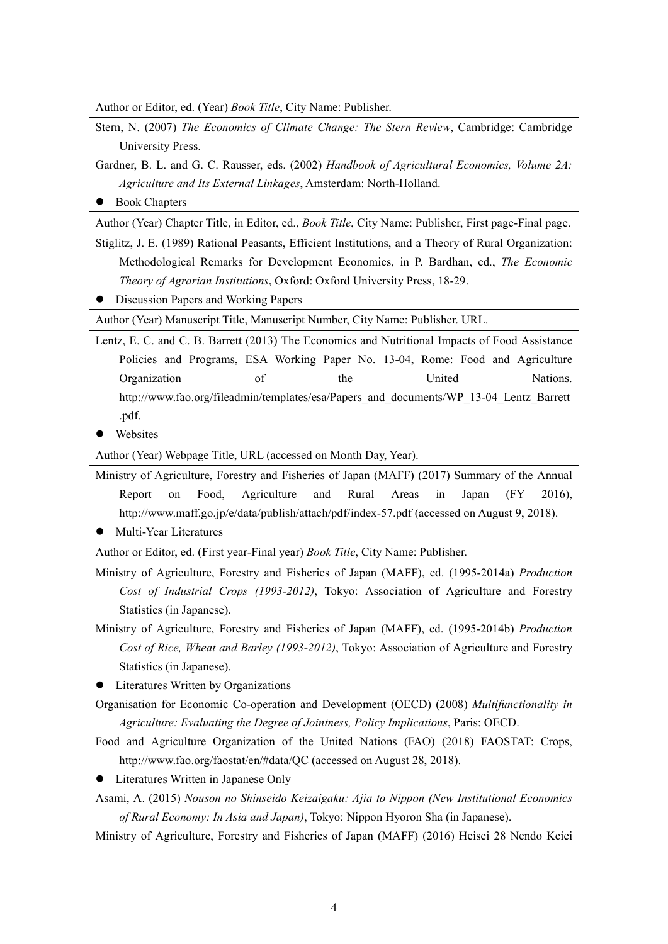Author or Editor, ed. (Year) *Book Title*, City Name: Publisher.

- Stern, N. (2007) *The Economics of Climate Change: The Stern Review*, Cambridge: Cambridge University Press.
- Gardner, B. L. and G. C. Rausser, eds. (2002) *Handbook of Agricultural Economics, Volume 2A: Agriculture and Its External Linkages*, Amsterdam: North-Holland.
- Book Chapters

Author (Year) Chapter Title, in Editor, ed., *Book Title*, City Name: Publisher, First page-Final page.

- Stiglitz, J. E. (1989) Rational Peasants, Efficient Institutions, and a Theory of Rural Organization: Methodological Remarks for Development Economics, in P. Bardhan, ed., *The Economic Theory of Agrarian Institutions*, Oxford: Oxford University Press, 18-29.
- **•** Discussion Papers and Working Papers

Author (Year) Manuscript Title, Manuscript Number, City Name: Publisher. URL.

- Lentz, E. C. and C. B. Barrett (2013) The Economics and Nutritional Impacts of Food Assistance Policies and Programs, ESA Working Paper No. 13-04, Rome: Food and Agriculture Organization of the United Nations. http://www.fao.org/fileadmin/templates/esa/Papers\_and\_documents/WP\_13-04\_Lentz\_Barrett .pdf.
- **•** Websites

Author (Year) Webpage Title, URL (accessed on Month Day, Year).

Ministry of Agriculture, Forestry and Fisheries of Japan (MAFF) (2017) Summary of the Annual Report on Food, Agriculture and Rural Areas in Japan (FY 2016), http://www.maff.go.jp/e/data/publish/attach/pdf/index-57.pdf (accessed on August 9, 2018).

Multi-Year Literatures

Author or Editor, ed. (First year-Final year) *Book Title*, City Name: Publisher.

- Ministry of Agriculture, Forestry and Fisheries of Japan (MAFF), ed. (1995-2014a) *Production Cost of Industrial Crops (1993-2012)*, Tokyo: Association of Agriculture and Forestry Statistics (in Japanese).
- Ministry of Agriculture, Forestry and Fisheries of Japan (MAFF), ed. (1995-2014b) *Production Cost of Rice, Wheat and Barley (1993-2012)*, Tokyo: Association of Agriculture and Forestry Statistics (in Japanese).

• Literatures Written by Organizations

- Organisation for Economic Co-operation and Development (OECD) (2008) *Multifunctionality in Agriculture: Evaluating the Degree of Jointness, Policy Implications*, Paris: OECD.
- Food and Agriculture Organization of the United Nations (FAO) (2018) FAOSTAT: Crops, http://www.fao.org/faostat/en/#data/QC (accessed on August 28, 2018).
- Literatures Written in Japanese Only
- Asami, A. (2015) *Nouson no Shinseido Keizaigaku: Ajia to Nippon (New Institutional Economics of Rural Economy: In Asia and Japan)*, Tokyo: Nippon Hyoron Sha (in Japanese).
- Ministry of Agriculture, Forestry and Fisheries of Japan (MAFF) (2016) Heisei 28 Nendo Keiei